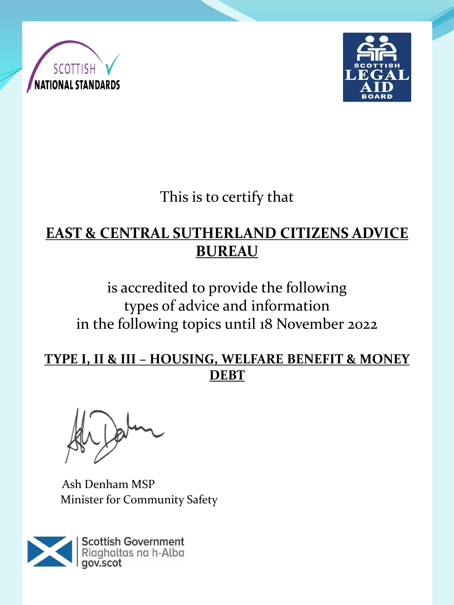



This is to certify that

## **EAST & CENTRAL SUTHERLAND CITIZENS ADVICE BUREAU**

is accredited to provide the following types of advice and information in the following topics until 18 November 2022

**TYPE I, II & III – HOUSING, WELFARE BENEFIT & MONEY DEBT** 

Ash Denham MSP Minister for Community Safety

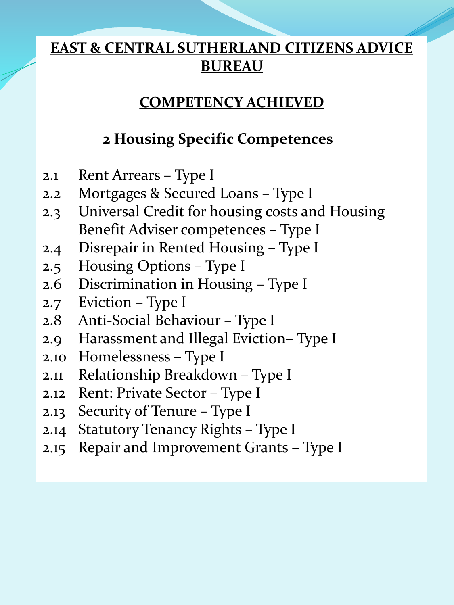### **COMPETENCY ACHIEVED**

# **2 Housing Specific Competences**

- 2.1 Rent Arrears Type I
- 2.2 Mortgages & Secured Loans Type I
- 2.3 Universal Credit for housing costs and Housing Benefit Adviser competences – Type I
- 2.4 Disrepair in Rented Housing Type I
- 2.5 Housing Options Type I
- 2.6 Discrimination in Housing Type I
- 2.7 Eviction Type I
- 2.8 Anti-Social Behaviour Type I
- 2.9 Harassment and Illegal Eviction– Type I
- 2.10 Homelessness Type I
- 2.11 Relationship Breakdown Type I
- 2.12 Rent: Private Sector Type I
- 2.13 Security of Tenure Type I
- 2.14 Statutory Tenancy Rights Type I
- 2.15 Repair and Improvement Grants Type I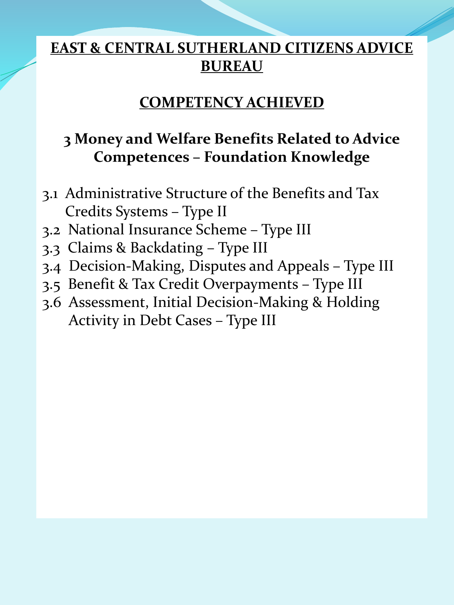#### **COMPETENCY ACHIEVED**

# **3 Money and Welfare Benefits Related to Advice Competences – Foundation Knowledge**

- 3.1 Administrative Structure of the Benefits and Tax Credits Systems – Type II
- 3.2 National Insurance Scheme Type III
- 3.3 Claims & Backdating Type III
- 3.4 Decision-Making, Disputes and Appeals Type III
- 3.5 Benefit & Tax Credit Overpayments Type III
- 3.6 Assessment, Initial Decision-Making & Holding Activity in Debt Cases – Type III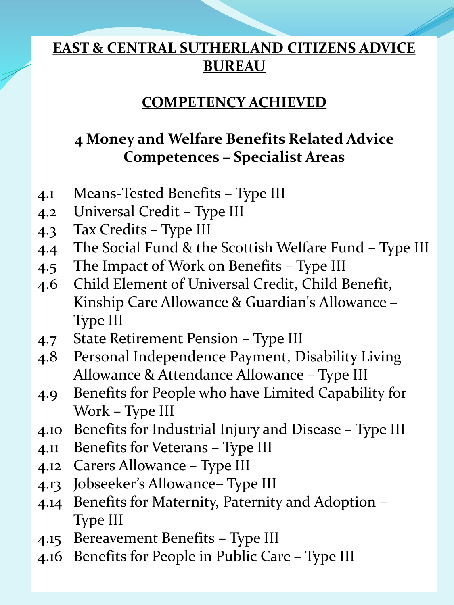### **COMPETENCY ACHIEVED**

# **4 Money and Welfare Benefits Related Advice Competences – Specialist Areas**

- 4.1 Means-Tested Benefits Type III
- 4.2 Universal Credit Type III
- 4.3 Tax Credits Type III
- 4.4 The Social Fund & the Scottish Welfare Fund Type III
- 4.5 The Impact of Work on Benefits Type III
- 4.6 Child Element of Universal Credit, Child Benefit, Kinship Care Allowance & Guardian's Allowance – Type III
- 4.7 State Retirement Pension Type III
- 4.8 Personal Independence Payment, Disability Living Allowance & Attendance Allowance – Type III
- 4.9 Benefits for People who have Limited Capability for Work – Type III
- 4.10 Benefits for Industrial Injury and Disease Type III
- 4.11 Benefits for Veterans Type III
- 4.12 Carers Allowance Type III
- 4.13 Jobseeker's Allowance– Type III
- 4.14 Benefits for Maternity, Paternity and Adoption Type III
- 4.15 Bereavement Benefits Type III
- 4.16 Benefits for People in Public Care Type III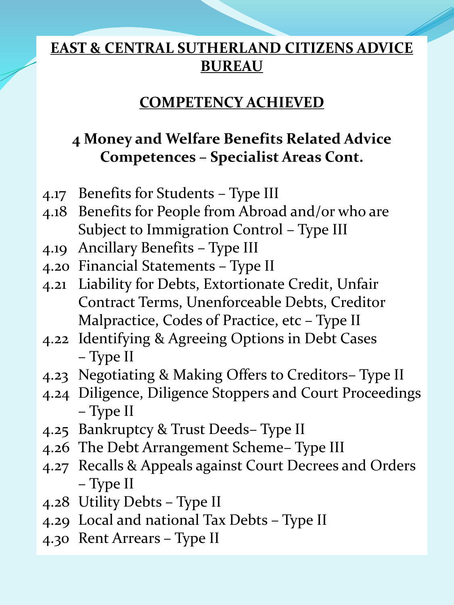#### **COMPETENCY ACHIEVED**

# **4 Money and Welfare Benefits Related Advice Competences – Specialist Areas Cont.**

- 4.17 Benefits for Students Type III
- 4.18 Benefits for People from Abroad and/or who are Subject to Immigration Control – Type III
- 4.19 Ancillary Benefits Type III
- 4.20 Financial Statements Type II
- 4.21 Liability for Debts, Extortionate Credit, Unfair Contract Terms, Unenforceable Debts, Creditor Malpractice, Codes of Practice, etc – Type II
- 4.22 Identifying & Agreeing Options in Debt Cases – Type II
- 4.23 Negotiating & Making Offers to Creditors– Type II
- 4.24 Diligence, Diligence Stoppers and Court Proceedings – Type II
- 4.25 Bankruptcy & Trust Deeds– Type II
- 4.26 The Debt Arrangement Scheme– Type III
- 4.27 Recalls & Appeals against Court Decrees and Orders – Type II
- 4.28 Utility Debts Type II
- 4.29 Local and national Tax Debts Type II
- 4.30 Rent Arrears Type II